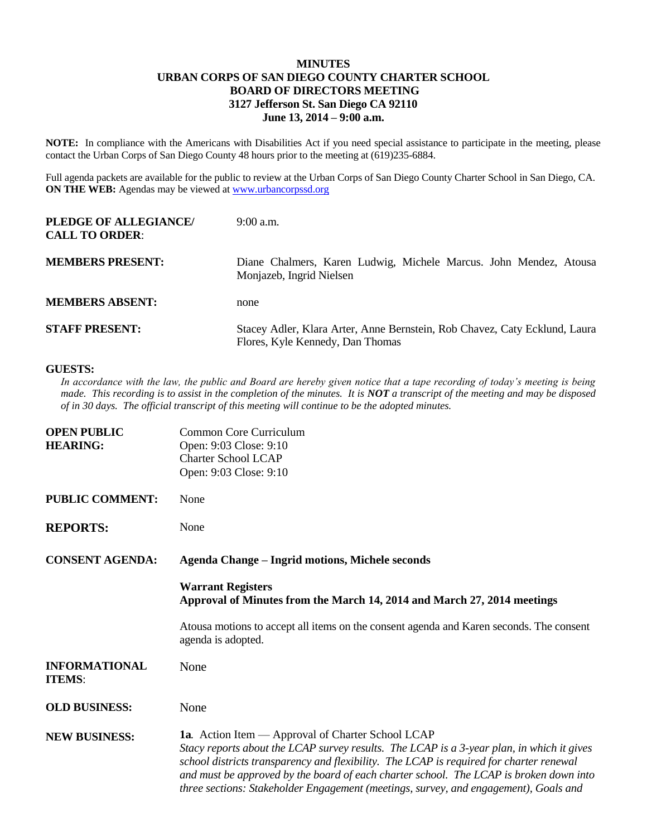## **MINUTES URBAN CORPS OF SAN DIEGO COUNTY CHARTER SCHOOL BOARD OF DIRECTORS MEETING 3127 Jefferson St. San Diego CA 92110 June 13, 2014 – 9:00 a.m.**

**NOTE:** In compliance with the Americans with Disabilities Act if you need special assistance to participate in the meeting, please contact the Urban Corps of San Diego County 48 hours prior to the meeting at (619)235-6884.

Full agenda packets are available for the public to review at the Urban Corps of San Diego County Charter School in San Diego, CA. **ON THE WEB:** Agendas may be viewed at **www.urbancorpssd.org** 

| PLEDGE OF ALLEGIANCE/<br><b>CALL TO ORDER:</b> | $9:00$ a.m.                                                                                                    |
|------------------------------------------------|----------------------------------------------------------------------------------------------------------------|
| <b>MEMBERS PRESENT:</b>                        | Diane Chalmers, Karen Ludwig, Michele Marcus. John Mendez, Atousa<br>Monjazeb, Ingrid Nielsen                  |
| <b>MEMBERS ABSENT:</b>                         | none                                                                                                           |
| <b>STAFF PRESENT:</b>                          | Stacey Adler, Klara Arter, Anne Bernstein, Rob Chavez, Caty Ecklund, Laura<br>Flores, Kyle Kennedy, Dan Thomas |

## **GUESTS:**

*In accordance with the law, the public and Board are hereby given notice that a tape recording of today's meeting is being made. This recording is to assist in the completion of the minutes. It is NOT a transcript of the meeting and may be disposed of in 30 days. The official transcript of this meeting will continue to be the adopted minutes.*

| <b>OPEN PUBLIC</b><br><b>HEARING:</b> | Common Core Curriculum<br>Open: 9:03 Close: 9:10<br><b>Charter School LCAP</b><br>Open: 9:03 Close: 9:10                                                                                                                                                                                                                                                                                                                           |
|---------------------------------------|------------------------------------------------------------------------------------------------------------------------------------------------------------------------------------------------------------------------------------------------------------------------------------------------------------------------------------------------------------------------------------------------------------------------------------|
| <b>PUBLIC COMMENT:</b>                | None                                                                                                                                                                                                                                                                                                                                                                                                                               |
| <b>REPORTS:</b>                       | None                                                                                                                                                                                                                                                                                                                                                                                                                               |
| <b>CONSENT AGENDA:</b>                | <b>Agenda Change - Ingrid motions, Michele seconds</b>                                                                                                                                                                                                                                                                                                                                                                             |
|                                       | <b>Warrant Registers</b><br>Approval of Minutes from the March 14, 2014 and March 27, 2014 meetings                                                                                                                                                                                                                                                                                                                                |
|                                       | Atousa motions to accept all items on the consent agenda and Karen seconds. The consent<br>agenda is adopted.                                                                                                                                                                                                                                                                                                                      |
| <b>INFORMATIONAL</b><br><b>ITEMS:</b> | None                                                                                                                                                                                                                                                                                                                                                                                                                               |
| <b>OLD BUSINESS:</b>                  | None                                                                                                                                                                                                                                                                                                                                                                                                                               |
| <b>NEW BUSINESS:</b>                  | <b>1a.</b> Action Item — Approval of Charter School LCAP<br>Stacy reports about the LCAP survey results. The LCAP is a 3-year plan, in which it gives<br>school districts transparency and flexibility. The LCAP is required for charter renewal<br>and must be approved by the board of each charter school. The LCAP is broken down into<br>three sections: Stakeholder Engagement (meetings, survey, and engagement), Goals and |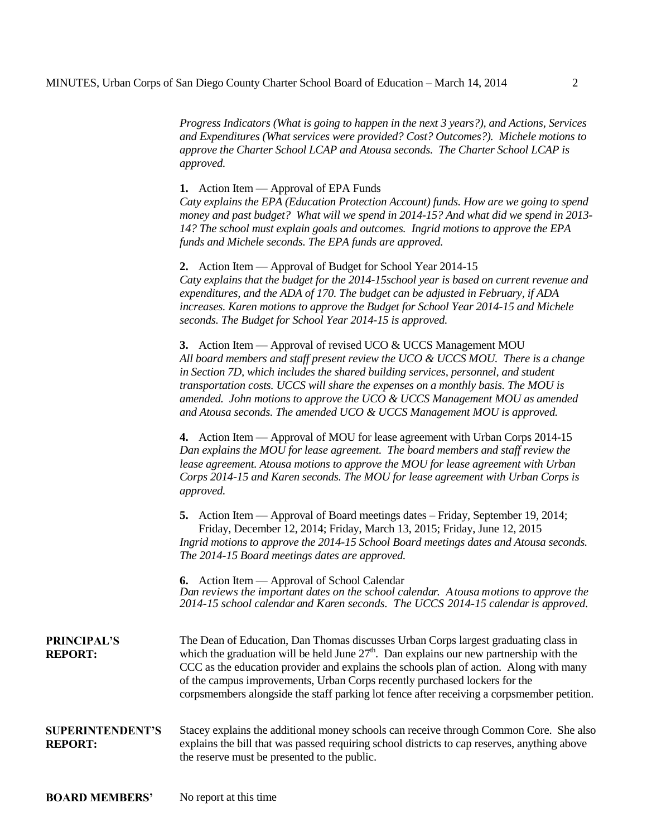*Progress Indicators (What is going to happen in the next 3 years?), and Actions, Services and Expenditures (What services were provided? Cost? Outcomes?). Michele motions to approve the Charter School LCAP and Atousa seconds. The Charter School LCAP is approved.* 

**1.** Action Item — Approval of EPA Funds

*Caty explains the EPA (Education Protection Account) funds. How are we going to spend money and past budget? What will we spend in 2014-15? And what did we spend in 2013- 14? The school must explain goals and outcomes. Ingrid motions to approve the EPA funds and Michele seconds. The EPA funds are approved.*

**2.** Action Item — Approval of Budget for School Year 2014-15 *Caty explains that the budget for the 2014-15school year is based on current revenue and expenditures, and the ADA of 170. The budget can be adjusted in February, if ADA increases. Karen motions to approve the Budget for School Year 2014-15 and Michele seconds. The Budget for School Year 2014-15 is approved.*

**3.** Action Item — Approval of revised UCO & UCCS Management MOU *All board members and staff present review the UCO & UCCS MOU. There is a change in Section 7D, which includes the shared building services, personnel, and student transportation costs. UCCS will share the expenses on a monthly basis. The MOU is amended. John motions to approve the UCO & UCCS Management MOU as amended and Atousa seconds. The amended UCO & UCCS Management MOU is approved.*

**4.** Action Item — Approval of MOU for lease agreement with Urban Corps 2014-15 *Dan explains the MOU for lease agreement. The board members and staff review the lease agreement. Atousa motions to approve the MOU for lease agreement with Urban Corps 2014-15 and Karen seconds. The MOU for lease agreement with Urban Corps is approved.*

**5.** Action Item — Approval of Board meetings dates – Friday, September 19, 2014; Friday, December 12, 2014; Friday, March 13, 2015; Friday, June 12, 2015 *Ingrid motions to approve the 2014-15 School Board meetings dates and Atousa seconds. The 2014-15 Board meetings dates are approved.*

**6.** Action Item — Approval of School Calendar *Dan reviews the important dates on the school calendar. Atousa motions to approve the 2014-15 school calendar and Karen seconds. The UCCS 2014-15 calendar is approved.*

| <b>PRINCIPAL'S</b> | The Dean of Education, Dan Thomas discusses Urban Corps largest graduating class in        |
|--------------------|--------------------------------------------------------------------------------------------|
| <b>REPORT:</b>     | which the graduation will be held June $27th$ . Dan explains our new partnership with the  |
|                    | CCC as the education provider and explains the schools plan of action. Along with many     |
|                    | of the campus improvements, Urban Corps recently purchased lockers for the                 |
|                    | corpsmembers alongside the staff parking lot fence after receiving a corpsmember petition. |
|                    |                                                                                            |
|                    |                                                                                            |

## **SUPERINTENDENT'S REPORT:** Stacey explains the additional money schools can receive through Common Core. She also explains the bill that was passed requiring school districts to cap reserves, anything above the reserve must be presented to the public.